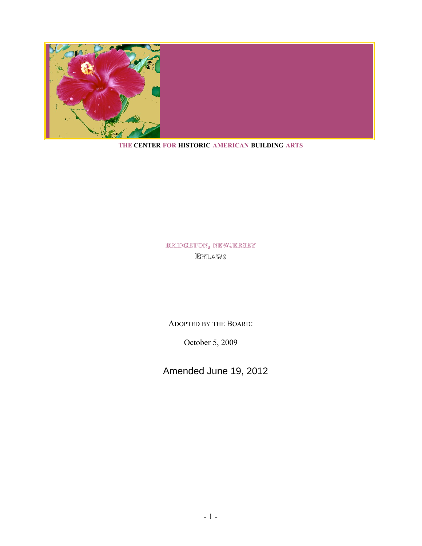

#### **THE CENTER FOR HISTORIC AMERICAN BUILDING ARTS**

# **BRIDGETON, NEW JERSEY BYLAWS**

ADOPTED BY THE BOARD:

October 5, 2009

Amended June 19, 2012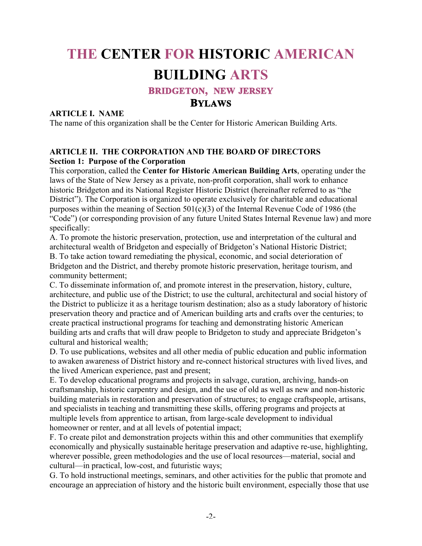# **THE CENTER FOR HISTORIC AMERICAN BUILDING ARTS**

## **BRIDGETON, NEW JERSEY**

## **BYLAWS**

#### **ARTICLE I. NAME**

The name of this organization shall be the Center for Historic American Building Arts.

#### **ARTICLE II. THE CORPORATION AND THE BOARD OF DIRECTORS Section 1: Purpose of the Corporation**

This corporation, called the **Center for Historic American Building Arts**, operating under the laws of the State of New Jersey as a private, non-profit corporation, shall work to enhance historic Bridgeton and its National Register Historic District (hereinafter referred to as "the District"). The Corporation is organized to operate exclusively for charitable and educational purposes within the meaning of Section 501(c)(3) of the Internal Revenue Code of 1986 (the "Code") (or corresponding provision of any future United States Internal Revenue law) and more specifically:

A. To promote the historic preservation, protection, use and interpretation of the cultural and architectural wealth of Bridgeton and especially of Bridgeton's National Historic District; B. To take action toward remediating the physical, economic, and social deterioration of Bridgeton and the District, and thereby promote historic preservation, heritage tourism, and community betterment;

C. To disseminate information of, and promote interest in the preservation, history, culture, architecture, and public use of the District; to use the cultural, architectural and social history of the District to publicize it as a heritage tourism destination; also as a study laboratory of historic preservation theory and practice and of American building arts and crafts over the centuries; to create practical instructional programs for teaching and demonstrating historic American building arts and crafts that will draw people to Bridgeton to study and appreciate Bridgeton's cultural and historical wealth;

D. To use publications, websites and all other media of public education and public information to awaken awareness of District history and re-connect historical structures with lived lives, and the lived American experience, past and present;

E. To develop educational programs and projects in salvage, curation, archiving, hands-on craftsmanship, historic carpentry and design, and the use of old as well as new and non-historic building materials in restoration and preservation of structures; to engage craftspeople, artisans, and specialists in teaching and transmitting these skills, offering programs and projects at multiple levels from apprentice to artisan, from large-scale development to individual homeowner or renter, and at all levels of potential impact;

F. To create pilot and demonstration projects within this and other communities that exemplify economically and physically sustainable heritage preservation and adaptive re-use, highlighting, wherever possible, green methodologies and the use of local resources—material, social and cultural—in practical, low-cost, and futuristic ways;

G. To hold instructional meetings, seminars, and other activities for the public that promote and encourage an appreciation of history and the historic built environment, especially those that use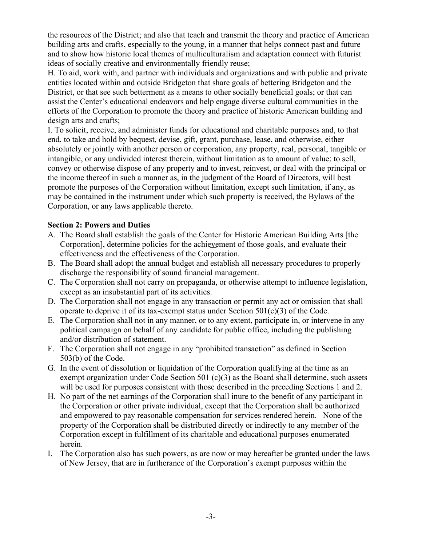the resources of the District; and also that teach and transmit the theory and practice of American building arts and crafts, especially to the young, in a manner that helps connect past and future and to show how historic local themes of multiculturalism and adaptation connect with futurist ideas of socially creative and environmentally friendly reuse;

H. To aid, work with, and partner with individuals and organizations and with public and private entities located within and outside Bridgeton that share goals of bettering Bridgeton and the District, or that see such betterment as a means to other socially beneficial goals; or that can assist the Center's educational endeavors and help engage diverse cultural communities in the efforts of the Corporation to promote the theory and practice of historic American building and design arts and crafts;

I. To solicit, receive, and administer funds for educational and charitable purposes and, to that end, to take and hold by bequest, devise, gift, grant, purchase, lease, and otherwise, either absolutely or jointly with another person or corporation, any property, real, personal, tangible or intangible, or any undivided interest therein, without limitation as to amount of value; to sell, convey or otherwise dispose of any property and to invest, reinvest, or deal with the principal or the income thereof in such a manner as, in the judgment of the Board of Directors, will best promote the purposes of the Corporation without limitation, except such limitation, if any, as may be contained in the instrument under which such property is received, the Bylaws of the Corporation, or any laws applicable thereto.

## **Section 2: Powers and Duties**

- A. The Board shall establish the goals of the Center for Historic American Building Arts [the Corporation], determine policies for the achievement of those goals, and evaluate their effectiveness and the effectiveness of the Corporation.
- B. The Board shall adopt the annual budget and establish all necessary procedures to properly discharge the responsibility of sound financial management.
- C. The Corporation shall not carry on propaganda, or otherwise attempt to influence legislation, except as an insubstantial part of its activities.
- D. The Corporation shall not engage in any transaction or permit any act or omission that shall operate to deprive it of its tax-exempt status under Section  $501(c)(3)$  of the Code.
- E. The Corporation shall not in any manner, or to any extent, participate in, or intervene in any political campaign on behalf of any candidate for public office, including the publishing and/or distribution of statement.
- F. The Corporation shall not engage in any "prohibited transaction" as defined in Section 503(b) of the Code.
- G. In the event of dissolution or liquidation of the Corporation qualifying at the time as an exempt organization under Code Section 501 (c)(3) as the Board shall determine, such assets will be used for purposes consistent with those described in the preceding Sections 1 and 2.
- H. No part of the net earnings of the Corporation shall inure to the benefit of any participant in the Corporation or other private individual, except that the Corporation shall be authorized and empowered to pay reasonable compensation for services rendered herein. None of the property of the Corporation shall be distributed directly or indirectly to any member of the Corporation except in fulfillment of its charitable and educational purposes enumerated herein.
- I. The Corporation also has such powers, as are now or may hereafter be granted under the laws of New Jersey, that are in furtherance of the Corporation's exempt purposes within the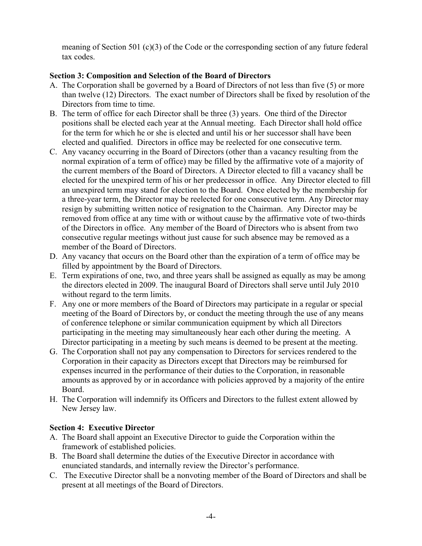meaning of Section 501 (c)(3) of the Code or the corresponding section of any future federal tax codes.

## **Section 3: Composition and Selection of the Board of Directors**

- A. The Corporation shall be governed by a Board of Directors of not less than five (5) or more than twelve (12) Directors. The exact number of Directors shall be fixed by resolution of the Directors from time to time.
- B. The term of office for each Director shall be three (3) years. One third of the Director positions shall be elected each year at the Annual meeting. Each Director shall hold office for the term for which he or she is elected and until his or her successor shall have been elected and qualified. Directors in office may be reelected for one consecutive term.
- C. Any vacancy occurring in the Board of Directors (other than a vacancy resulting from the normal expiration of a term of office) may be filled by the affirmative vote of a majority of the current members of the Board of Directors. A Director elected to fill a vacancy shall be elected for the unexpired term of his or her predecessor in office. Any Director elected to fill an unexpired term may stand for election to the Board. Once elected by the membership for a three-year term, the Director may be reelected for one consecutive term. Any Director may resign by submitting written notice of resignation to the Chairman. Any Director may be removed from office at any time with or without cause by the affirmative vote of two-thirds of the Directors in office. Any member of the Board of Directors who is absent from two consecutive regular meetings without just cause for such absence may be removed as a member of the Board of Directors.
- D. Any vacancy that occurs on the Board other than the expiration of a term of office may be filled by appointment by the Board of Directors.
- E. Term expirations of one, two, and three years shall be assigned as equally as may be among the directors elected in 2009. The inaugural Board of Directors shall serve until July 2010 without regard to the term limits.
- F. Any one or more members of the Board of Directors may participate in a regular or special meeting of the Board of Directors by, or conduct the meeting through the use of any means of conference telephone or similar communication equipment by which all Directors participating in the meeting may simultaneously hear each other during the meeting. A Director participating in a meeting by such means is deemed to be present at the meeting.
- G. The Corporation shall not pay any compensation to Directors for services rendered to the Corporation in their capacity as Directors except that Directors may be reimbursed for expenses incurred in the performance of their duties to the Corporation, in reasonable amounts as approved by or in accordance with policies approved by a majority of the entire Board.
- H. The Corporation will indemnify its Officers and Directors to the fullest extent allowed by New Jersey law.

#### **Section 4: Executive Director**

- A. The Board shall appoint an Executive Director to guide the Corporation within the framework of established policies.
- B. The Board shall determine the duties of the Executive Director in accordance with enunciated standards, and internally review the Director's performance.
- C. The Executive Director shall be a nonvoting member of the Board of Directors and shall be present at all meetings of the Board of Directors.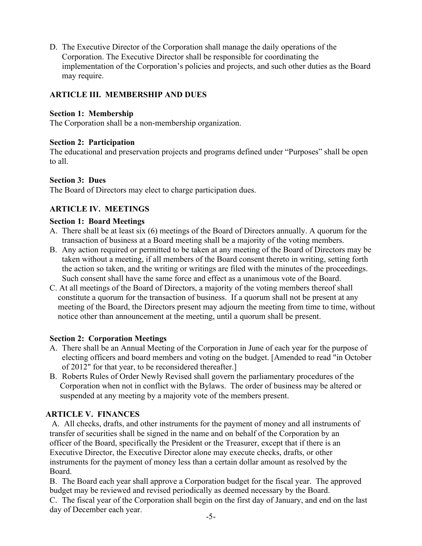D. The Executive Director of the Corporation shall manage the daily operations of the Corporation. The Executive Director shall be responsible for coordinating the implementation of the Corporation's policies and projects, and such other duties as the Board may require.

# **ARTICLE III. MEMBERSHIP AND DUES**

## **Section 1: Membership**

The Corporation shall be a non-membership organization.

## **Section 2: Participation**

The educational and preservation projects and programs defined under "Purposes" shall be open to all.

## **Section 3: Dues**

The Board of Directors may elect to charge participation dues.

# **ARTICLE IV. MEETINGS**

## **Section 1: Board Meetings**

- A. There shall be at least six (6) meetings of the Board of Directors annually. A quorum for the transaction of business at a Board meeting shall be a majority of the voting members.
- B. Any action required or permitted to be taken at any meeting of the Board of Directors may be taken without a meeting, if all members of the Board consent thereto in writing, setting forth the action so taken, and the writing or writings are filed with the minutes of the proceedings. Such consent shall have the same force and effect as a unanimous vote of the Board.
- C. At all meetings of the Board of Directors, a majority of the voting members thereof shall constitute a quorum for the transaction of business. If a quorum shall not be present at any meeting of the Board, the Directors present may adjourn the meeting from time to time, without notice other than announcement at the meeting, until a quorum shall be present.

## **Section 2: Corporation Meetings**

- A. There shall be an Annual Meeting of the Corporation in June of each year for the purpose of electing officers and board members and voting on the budget. [Amended to read "in October of 2012" for that year, to be reconsidered thereafter.]
- B. Roberts Rules of Order Newly Revised shall govern the parliamentary procedures of the Corporation when not in conflict with the Bylaws. The order of business may be altered or suspended at any meeting by a majority vote of the members present.

## **ARTICLE V. FINANCES**

 A. All checks, drafts, and other instruments for the payment of money and all instruments of transfer of securities shall be signed in the name and on behalf of the Corporation by an officer of the Board, specifically the President or the Treasurer, except that if there is an Executive Director, the Executive Director alone may execute checks, drafts, or other instruments for the payment of money less than a certain dollar amount as resolved by the Board.

 B. The Board each year shall approve a Corporation budget for the fiscal year. The approved budget may be reviewed and revised periodically as deemed necessary by the Board.

 C. The fiscal year of the Corporation shall begin on the first day of January, and end on the last day of December each year.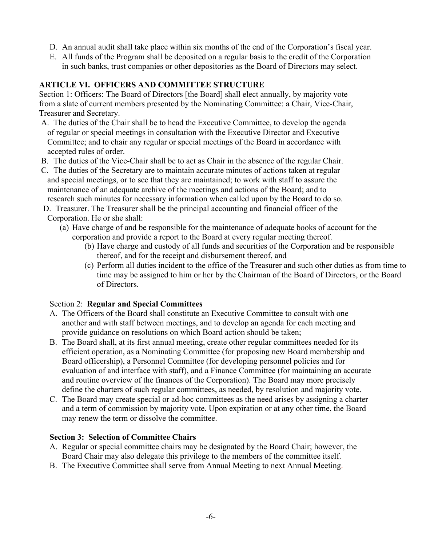- D. An annual audit shall take place within six months of the end of the Corporation's fiscal year.
- E. All funds of the Program shall be deposited on a regular basis to the credit of the Corporation in such banks, trust companies or other depositories as the Board of Directors may select.

## **ARTICLE VI. OFFICERS AND COMMITTEE STRUCTURE**

Section 1: Officers: The Board of Directors [the Board] shall elect annually, by majority vote from a slate of current members presented by the Nominating Committee: a Chair, Vice-Chair, Treasurer and Secretary.

- A. The duties of the Chair shall be to head the Executive Committee, to develop the agenda of regular or special meetings in consultation with the Executive Director and Executive Committee; and to chair any regular or special meetings of the Board in accordance with accepted rules of order.
- B. The duties of the Vice-Chair shall be to act as Chair in the absence of the regular Chair.
- C. The duties of the Secretary are to maintain accurate minutes of actions taken at regular and special meetings, or to see that they are maintained; to work with staff to assure the maintenance of an adequate archive of the meetings and actions of the Board; and to research such minutes for necessary information when called upon by the Board to do so.
- D. Treasurer. The Treasurer shall be the principal accounting and financial officer of the Corporation. He or she shall:
	- (a) Have charge of and be responsible for the maintenance of adequate books of account for the corporation and provide a report to the Board at every regular meeting thereof.
		- (b) Have charge and custody of all funds and securities of the Corporation and be responsible thereof, and for the receipt and disbursement thereof, and
		- (c) Perform all duties incident to the office of the Treasurer and such other duties as from time to time may be assigned to him or her by the Chairman of the Board of Directors, or the Board of Directors.

#### Section 2: **Regular and Special Committees**

- A. The Officers of the Board shall constitute an Executive Committee to consult with one another and with staff between meetings, and to develop an agenda for each meeting and provide guidance on resolutions on which Board action should be taken;
- B. The Board shall, at its first annual meeting, create other regular committees needed for its efficient operation, as a Nominating Committee (for proposing new Board membership and Board officership), a Personnel Committee (for developing personnel policies and for evaluation of and interface with staff), and a Finance Committee (for maintaining an accurate and routine overview of the finances of the Corporation). The Board may more precisely define the charters of such regular committees, as needed, by resolution and majority vote.
- C. The Board may create special or ad-hoc committees as the need arises by assigning a charter and a term of commission by majority vote. Upon expiration or at any other time, the Board may renew the term or dissolve the committee.

#### **Section 3: Selection of Committee Chairs**

- A. Regular or special committee chairs may be designated by the Board Chair; however, the Board Chair may also delegate this privilege to the members of the committee itself.
- B. The Executive Committee shall serve from Annual Meeting to next Annual Meeting.